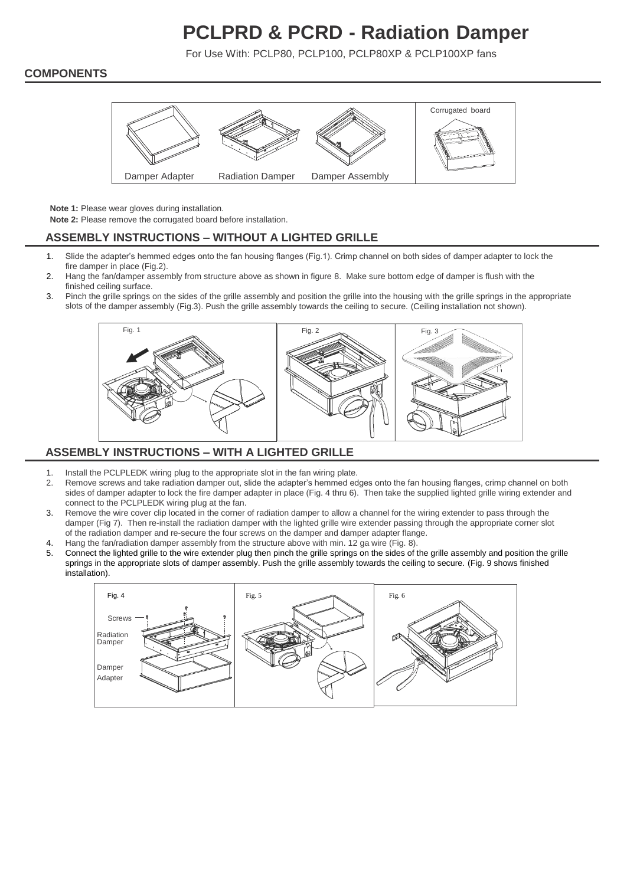# **PCLPRD & PCRD - Radiation Damper**

For Use With: PCLP80, PCLP100, PCLP80XP & PCLP100XP fans

#### **COMPONENTS**



**Note 1:** Please wear gloves during installation.

**Note 2:** Please remove the corrugated board before installation.

# **ASSEMBLY INSTRUCTIONS – WITHOUT A LIGHTED GRILLE**

- 1. Slide the adapter's hemmed edges onto the fan housing flanges (Fig.1). Crimp channel on both sides of damper adapter to lock the fire damper in place (Fig.2).
- 2. Hang the fan/damper assembly from structure above as shown in figure 8. Make sure bottom edge of damper is flush with the finished ceiling surface.
- 3. Pinch the grille springs on the sides of the grille assembly and position the grille into the housing with the grille springs in the appropriate slots of the damper assembly (Fig.3). Push the grille assembly towards the ceiling to secure. (Ceiling installation not shown).



# **ASSEMBLY INSTRUCTIONS – WITH A LIGHTED GRILLE**

- 1. Install the PCLPLEDK wiring plug to the appropriate slot in the fan wiring plate.
- 2. Remove screws and take radiation damper out, slide the adapter's hemmed edges onto the fan housing flanges, crimp channel on both sides of damper adapter to lock the fire damper adapter in place (Fig. 4 thru 6). Then take the supplied lighted grille wiring extender and connect to the PCLPLEDK wiring plug at the fan.
- 3. Remove the wire cover clip located in the corner of radiation damper to allow a channel for the wiring extender to pass through the damper (Fig 7). Then re-install the radiation damper with the lighted grille wire extender passing through the appropriate corner slot of the radiation damper and re-secure the four screws on the damper and damper adapter flange.
- 4. Hang the fan/radiation damper assembly from the structure above with min. 12 ga wire (Fig. 8).
- 5. Connect the lighted grille to the wire extender plug then pinch the grille springs on the sides of the grille assembly and position the grille springs in the appropriate slots of damper assembly. Push the grille assembly towards the ceiling to secure. (Fig. 9 shows finished installation).